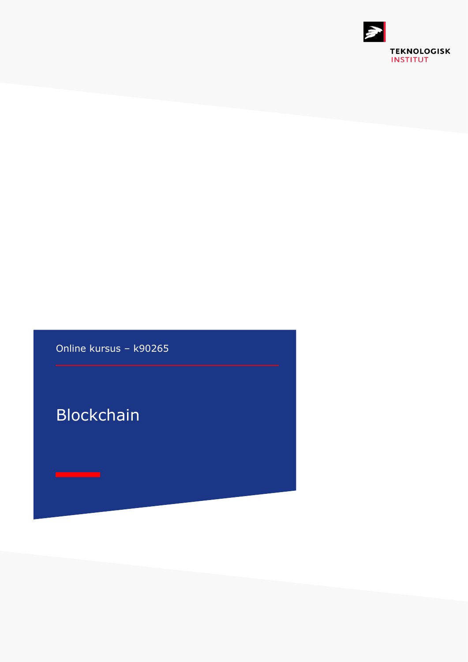

Online kursus – k90265

Blockchain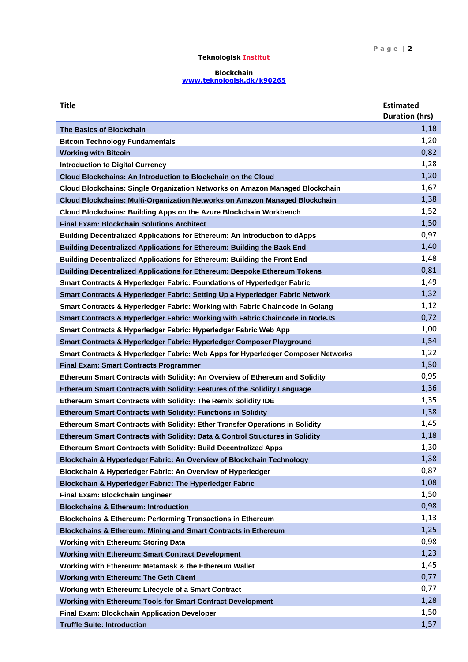## **Teknologisk Institut**

## **Blockchain [www.teknologisk.dk/k9](http://www.teknologisk.dk/k)0265**

| <b>Title</b>                                                                        | <b>Estimated</b><br><b>Duration (hrs)</b> |
|-------------------------------------------------------------------------------------|-------------------------------------------|
| <b>The Basics of Blockchain</b>                                                     | 1,18                                      |
| <b>Bitcoin Technology Fundamentals</b>                                              | 1,20                                      |
| <b>Working with Bitcoin</b>                                                         | 0,82                                      |
| <b>Introduction to Digital Currency</b>                                             | 1,28                                      |
| Cloud Blockchains: An Introduction to Blockchain on the Cloud                       | 1,20                                      |
| <b>Cloud Blockchains: Single Organization Networks on Amazon Managed Blockchain</b> | 1,67                                      |
| <b>Cloud Blockchains: Multi-Organization Networks on Amazon Managed Blockchain</b>  | 1,38                                      |
| Cloud Blockchains: Building Apps on the Azure Blockchain Workbench                  | 1,52                                      |
| <b>Final Exam: Blockchain Solutions Architect</b>                                   | 1,50                                      |
| <b>Building Decentralized Applications for Ethereum: An Introduction to dApps</b>   | 0,97                                      |
| <b>Building Decentralized Applications for Ethereum: Building the Back End</b>      | 1,40                                      |
| <b>Building Decentralized Applications for Ethereum: Building the Front End</b>     | 1,48                                      |
| <b>Building Decentralized Applications for Ethereum: Bespoke Ethereum Tokens</b>    | 0,81                                      |
| Smart Contracts & Hyperledger Fabric: Foundations of Hyperledger Fabric             | 1,49                                      |
| Smart Contracts & Hyperledger Fabric: Setting Up a Hyperledger Fabric Network       | 1,32                                      |
| Smart Contracts & Hyperledger Fabric: Working with Fabric Chaincode in Golang       | 1,12                                      |
| Smart Contracts & Hyperledger Fabric: Working with Fabric Chaincode in NodeJS       | 0,72                                      |
| Smart Contracts & Hyperledger Fabric: Hyperledger Fabric Web App                    | 1,00                                      |
| Smart Contracts & Hyperledger Fabric: Hyperledger Composer Playground               | 1,54                                      |
| Smart Contracts & Hyperledger Fabric: Web Apps for Hyperledger Composer Networks    | 1,22                                      |
| <b>Final Exam: Smart Contracts Programmer</b>                                       | 1,50                                      |
| Ethereum Smart Contracts with Solidity: An Overview of Ethereum and Solidity        | 0,95                                      |
| <b>Ethereum Smart Contracts with Solidity: Features of the Solidity Language</b>    | 1,36                                      |
| Ethereum Smart Contracts with Solidity: The Remix Solidity IDE                      | 1,35                                      |
| <b>Ethereum Smart Contracts with Solidity: Functions in Solidity</b>                | 1,38                                      |
| Ethereum Smart Contracts with Solidity: Ether Transfer Operations in Solidity       | 1,45                                      |
| Ethereum Smart Contracts with Solidity: Data & Control Structures in Solidity       | 1,18                                      |
| Ethereum Smart Contracts with Solidity: Build Decentralized Apps                    | 1,30                                      |
| Blockchain & Hyperledger Fabric: An Overview of Blockchain Technology               | 1,38                                      |
| Blockchain & Hyperledger Fabric: An Overview of Hyperledger                         | 0,87                                      |
| Blockchain & Hyperledger Fabric: The Hyperledger Fabric                             | 1,08                                      |
| Final Exam: Blockchain Engineer                                                     | 1,50                                      |
| <b>Blockchains &amp; Ethereum: Introduction</b>                                     | 0,98                                      |
| <b>Blockchains &amp; Ethereum: Performing Transactions in Ethereum</b>              | 1,13                                      |
| Blockchains & Ethereum: Mining and Smart Contracts in Ethereum                      | 1,25                                      |
| <b>Working with Ethereum: Storing Data</b>                                          | 0,98                                      |
| <b>Working with Ethereum: Smart Contract Development</b>                            | 1,23                                      |
| Working with Ethereum: Metamask & the Ethereum Wallet                               | 1,45                                      |
| <b>Working with Ethereum: The Geth Client</b>                                       | 0,77                                      |
| Working with Ethereum: Lifecycle of a Smart Contract                                | 0,77                                      |
| <b>Working with Ethereum: Tools for Smart Contract Development</b>                  | 1,28                                      |
| <b>Final Exam: Blockchain Application Developer</b>                                 | 1,50                                      |
| <b>Truffle Suite: Introduction</b>                                                  | 1,57                                      |